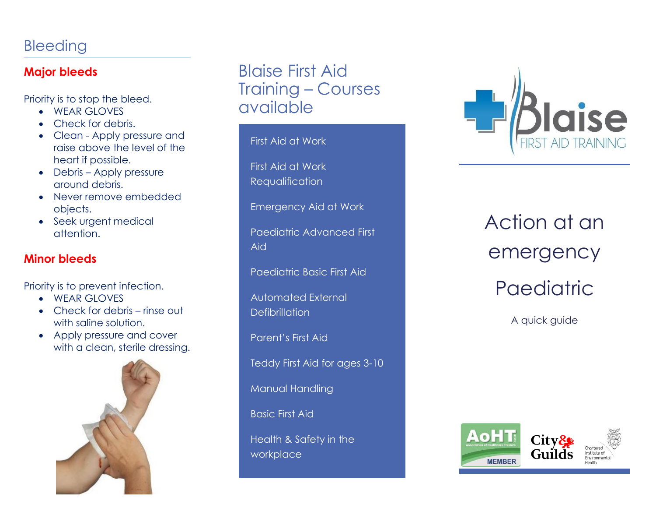## Bleeding

#### **Major bleeds**

Priority is to stop the bleed.

- WEAR GLOVES
- Check for debris.
- Clean Apply pressure and raise above the level of the heart if possible.
- Debris Apply pressure around debris.
- Never remove embedded objects.
- Seek urgent medical attention.

#### **Minor bleeds**

Priority is to prevent infection.

- WEAR GLOVES
- Check for debris rinse out with saline solution.
- Apply pressure and cover with a clean, sterile dressing.



# Blaise First Aid Training – Courses available

First Aid at Work

First Aid at Work Requalification

Emergency Aid at Work

Paediatric Advanced First Aid

Paediatric Basic First Aid

Automated External **Defibrillation** 

Parent's First Aid

Teddy First Aid for ages 3-10

Manual Handling

Basic First Aid

Health & Safety in the workplace



Action at an emergency **Paediatric** 

A quick guide